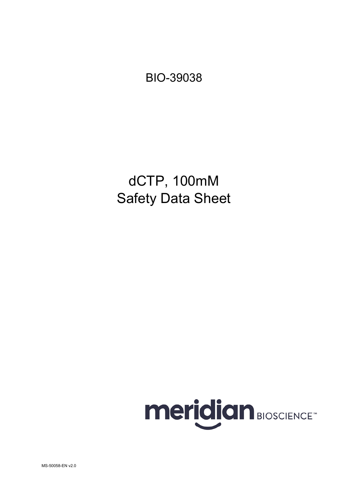BIO-39038

dCTP, 100mM Safety Data Sheet

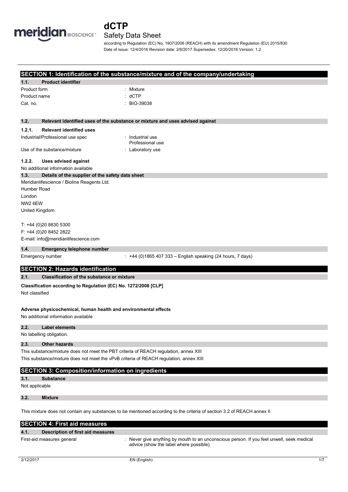

# **dCTP**

# Safety Data Sheet

according to Regulation (EC) No. 1907/2006 (REACH) with its amendment Regulation (EU) 2015/830 Date of issue: 12/4/2016 Revision date: 2/8/2017 Supersedes: 12/20/2016 Version: 1.2

### **SECTION 1: Identification of the substance/mixture and of the company/undertaking**

|                     |                                                                 | SECTION 1: identification of the substance/mixture and of the company/undertaking |
|---------------------|-----------------------------------------------------------------|-----------------------------------------------------------------------------------|
| 1.1.                | <b>Product identifier</b>                                       |                                                                                   |
| Product form        |                                                                 | Mixture                                                                           |
| Product name        |                                                                 | dCTP                                                                              |
| Cat. no.            |                                                                 | BIO-39038                                                                         |
|                     |                                                                 |                                                                                   |
| 1.2.                |                                                                 | Relevant identified uses of the substance or mixture and uses advised against     |
| 1.2.1.              | <b>Relevant identified uses</b>                                 |                                                                                   |
|                     | Industrial/Professional use spec                                | : Industrial use<br>Professional use                                              |
|                     | Use of the substance/mixture                                    | : Laboratory use                                                                  |
| 1.2.2.              | <b>Uses advised against</b>                                     |                                                                                   |
|                     | No additional information available                             |                                                                                   |
| 1.3.                | Details of the supplier of the safety data sheet                |                                                                                   |
|                     | Meridianlifescience / Bioline Reagents Ltd.                     |                                                                                   |
| Humber Road         |                                                                 |                                                                                   |
| London              |                                                                 |                                                                                   |
| NW <sub>2</sub> 6EW |                                                                 |                                                                                   |
| United Kingdom      |                                                                 |                                                                                   |
|                     | T: +44 (0)20 8830 5300                                          |                                                                                   |
|                     | F: +44 (0)20 8452 2822                                          |                                                                                   |
|                     | E-mail: info@meridianlifescience.com                            |                                                                                   |
| 1.4.                | Emergency telephone number                                      |                                                                                   |
|                     | Emergency number                                                | : +44 (0)1865 407 333 - English speaking (24 hours, 7 days)                       |
|                     | <b>SECTION 2: Hazards identification</b>                        |                                                                                   |
| 2.1.                | <b>Classification of the substance or mixture</b>               |                                                                                   |
|                     | Classification according to Regulation (EC) No. 1272/2008 [CLP] |                                                                                   |
| Not classified      |                                                                 |                                                                                   |
|                     |                                                                 |                                                                                   |
|                     | Adverse physicochemical, human health and environmental effects |                                                                                   |
|                     | No additional information available                             |                                                                                   |
| 2.2.                | Label elements                                                  |                                                                                   |

No labelling obligation.

# **2.3. Other hazards**

This substance/mixture does not meet the PBT criteria of REACH regulation, annex XIII This substance/mixture does not meet the vPvB criteria of REACH regulation, annex XIII

# **SECTION 3: Composition/information on ingredients**

**3.1. Substance** 

Not applicable

**3.2. Mixture** 

This mixture does not contain any substances to be mentioned according to the criteria of section 3.2 of REACH annex II

|      | <b>SECTION 4: First aid measures</b> |                                                                                                                                    |  |  |
|------|--------------------------------------|------------------------------------------------------------------------------------------------------------------------------------|--|--|
| 4.1. | Description of first aid measures    |                                                                                                                                    |  |  |
|      | First-aid measures general           | Never give anything by mouth to an unconscious person. If you feel unwell, seek medical<br>advice (show the label where possible). |  |  |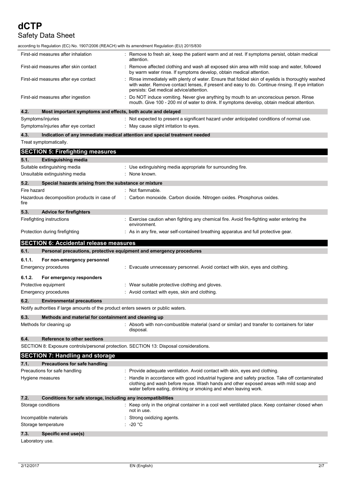| according to Regulation (EC) No. 1907/2006 (REACH) with its amendment Regulation (EU) 2015/830 |                                                                                                                                                                                                                                                            |
|------------------------------------------------------------------------------------------------|------------------------------------------------------------------------------------------------------------------------------------------------------------------------------------------------------------------------------------------------------------|
| First-aid measures after inhalation                                                            | Remove to fresh air, keep the patient warm and at rest. If symptoms persist, obtain medical<br>attention.                                                                                                                                                  |
| First-aid measures after skin contact                                                          | Remove affected clothing and wash all exposed skin area with mild soap and water, followed<br>by warm water rinse. If symptoms develop, obtain medical attention.                                                                                          |
| First-aid measures after eye contact                                                           | Rinse immediately with plenty of water. Ensure that folded skin of eyelids is thoroughly washed<br>with water. Remove contact lenses, if present and easy to do. Continue rinsing. If eye irritation<br>persists: Get medical advice/attention.            |
| First-aid measures after ingestion                                                             | Do NOT induce vomiting. Never give anything by mouth to an unconscious person. Rinse<br>mouth. Give 100 - 200 ml of water to drink. If symptoms develop, obtain medical attention.                                                                         |
| 4.2.<br>Most important symptoms and effects, both acute and delayed                            |                                                                                                                                                                                                                                                            |
| Symptoms/injuries                                                                              | : Not expected to present a significant hazard under anticipated conditions of normal use.                                                                                                                                                                 |
| Symptoms/injuries after eye contact                                                            | $\therefore$ May cause slight irritation to eyes.                                                                                                                                                                                                          |
| 4.3.                                                                                           | Indication of any immediate medical attention and special treatment needed                                                                                                                                                                                 |
| Treat symptomatically.                                                                         |                                                                                                                                                                                                                                                            |
| <b>SECTION 5: Firefighting measures</b>                                                        |                                                                                                                                                                                                                                                            |
| 5.1.<br><b>Extinguishing media</b>                                                             |                                                                                                                                                                                                                                                            |
| Suitable extinguishing media                                                                   | : Use extinguishing media appropriate for surrounding fire.                                                                                                                                                                                                |
| Unsuitable extinguishing media                                                                 | None known.                                                                                                                                                                                                                                                |
| 5.2.<br>Special hazards arising from the substance or mixture                                  |                                                                                                                                                                                                                                                            |
| Fire hazard                                                                                    | : Not flammable.                                                                                                                                                                                                                                           |
| Hazardous decomposition products in case of                                                    | : Carbon monoxide. Carbon dioxide. Nitrogen oxides. Phosphorus oxides.                                                                                                                                                                                     |
| fire                                                                                           |                                                                                                                                                                                                                                                            |
| 5.3.<br><b>Advice for firefighters</b>                                                         |                                                                                                                                                                                                                                                            |
| Firefighting instructions                                                                      | : Exercise caution when fighting any chemical fire. Avoid fire-fighting water entering the                                                                                                                                                                 |
|                                                                                                | environment.                                                                                                                                                                                                                                               |
| Protection during firefighting                                                                 | : As in any fire, wear self-contained breathing apparatus and full protective gear.                                                                                                                                                                        |
|                                                                                                |                                                                                                                                                                                                                                                            |
| <b>SECTION 6: Accidental release measures</b>                                                  |                                                                                                                                                                                                                                                            |
| 6.1.                                                                                           | Personal precautions, protective equipment and emergency procedures                                                                                                                                                                                        |
| 6.1.1.<br>For non-emergency personnel                                                          |                                                                                                                                                                                                                                                            |
| Emergency procedures                                                                           | : Evacuate unnecessary personnel. Avoid contact with skin, eyes and clothing.                                                                                                                                                                              |
|                                                                                                |                                                                                                                                                                                                                                                            |
| 6.1.2.<br>For emergency responders                                                             |                                                                                                                                                                                                                                                            |
| Protective equipment                                                                           | : Wear suitable protective clothing and gloves.                                                                                                                                                                                                            |
| Emergency procedures                                                                           | : Avoid contact with eyes, skin and clothing.                                                                                                                                                                                                              |
| 6.2.<br><b>Environmental precautions</b>                                                       |                                                                                                                                                                                                                                                            |
| Notify authorities if large amounts of the product enters sewers or public waters.             |                                                                                                                                                                                                                                                            |
| 6.3.<br>Methods and material for containment and cleaning up                                   |                                                                                                                                                                                                                                                            |
| Methods for cleaning up                                                                        | : Absorb with non-combustible material (sand or similar) and transfer to containers for later<br>disposal.                                                                                                                                                 |
| 6.4.<br>Reference to other sections                                                            |                                                                                                                                                                                                                                                            |
| SECTION 8: Exposure controls/personal protection. SECTION 13: Disposal considerations.         |                                                                                                                                                                                                                                                            |
| <b>SECTION 7: Handling and storage</b>                                                         |                                                                                                                                                                                                                                                            |
| 7.1.<br><b>Precautions for safe handling</b>                                                   |                                                                                                                                                                                                                                                            |
| Precautions for safe handling                                                                  | : Provide adequate ventilation. Avoid contact with skin, eyes and clothing.                                                                                                                                                                                |
| Hygiene measures                                                                               | : Handle in accordance with good industrial hygiene and safety practice. Take off contaminated<br>clothing and wash before reuse. Wash hands and other exposed areas with mild soap and<br>water before eating, drinking or smoking and when leaving work. |
| 7.2.<br>Conditions for safe storage, including any incompatibilities                           |                                                                                                                                                                                                                                                            |
| Storage conditions                                                                             | : Keep only in the original container in a cool well ventilated place. Keep container closed when<br>not in use.                                                                                                                                           |
| Incompatible materials                                                                         | Strong oxidizing agents.                                                                                                                                                                                                                                   |
| Storage temperature                                                                            | -20 °C                                                                                                                                                                                                                                                     |
| 7.3.<br>Specific end use(s)                                                                    |                                                                                                                                                                                                                                                            |

Laboratory use.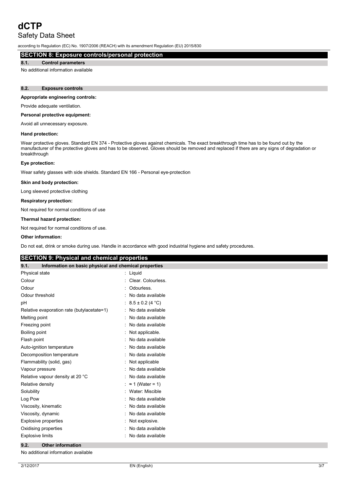# **dCTP**

# Safety Data Sheet

according to Regulation (EC) No. 1907/2006 (REACH) with its amendment Regulation (EU) 2015/830

# **SECTION 8: Exposure controls/personal protection**

# **8.1. Control parameters**

No additional information available

### **8.2. Exposure controls**

### **Appropriate engineering controls:**

Provide adequate ventilation.

### **Personal protective equipment:**

Avoid all unnecessary exposure.

### **Hand protection:**

Wear protective gloves. Standard EN 374 - Protective gloves against chemicals. The exact breakthrough time has to be found out by the manufacturer of the protective gloves and has to be observed. Gloves should be removed and replaced if there are any signs of degradation or breakthrough

#### **Eye protection:**

Wear safety glasses with side shields. Standard EN 166 - Personal eye-protection

#### **Skin and body protection:**

Long sleeved protective clothing

### **Respiratory protection:**

Not required for normal conditions of use

#### **Thermal hazard protection:**

Not required for normal conditions of use.

#### **Other information:**

Do not eat, drink or smoke during use. Handle in accordance with good industrial hygiene and safety procedures.

# **SECTION 9: Physical and chemical properties**

| 9.1.                             | Information on basic physical and chemical properties |   |                         |
|----------------------------------|-------------------------------------------------------|---|-------------------------|
| Physical state                   |                                                       |   | Liquid                  |
| Colour                           |                                                       |   | Clear. Colourless.      |
| Odour                            |                                                       |   | Odourless.              |
| Odour threshold                  |                                                       |   | No data available       |
| рH                               |                                                       |   | $8.5 \pm 0.2$ (4 °C)    |
|                                  | Relative evaporation rate (butylacetate=1)            | t | No data available       |
| Melting point                    |                                                       |   | No data available       |
| Freezing point                   |                                                       |   | No data available       |
| Boiling point                    |                                                       |   | Not applicable.         |
| Flash point                      |                                                       |   | No data available       |
| Auto-ignition temperature        |                                                       |   | No data available       |
| Decomposition temperature        |                                                       |   | No data available       |
| Flammability (solid, gas)        |                                                       |   | Not applicable          |
| Vapour pressure                  |                                                       |   | No data available       |
| Relative vapour density at 20 °C |                                                       |   | No data available       |
| Relative density                 |                                                       |   | $\approx$ 1 (Water = 1) |
| Solubility                       |                                                       |   | Water: Miscible         |
| Log Pow                          |                                                       |   | No data available       |
| Viscosity, kinematic             |                                                       |   | No data available       |
| Viscosity, dynamic               |                                                       |   | No data available       |
| <b>Explosive properties</b>      |                                                       |   | Not explosive.          |
| Oxidising properties             |                                                       |   | No data available       |
| <b>Explosive limits</b>          |                                                       |   | No data available       |

## **9.2. Other information**

No additional information available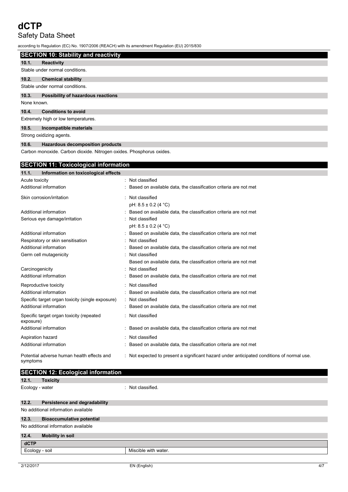# **dCTP**

# Safety Data Sheet

according to Regulation (EC) No. 1907/2006 (REACH) with its amendment Regulation (EU) 2015/830

|                                                       |                                                                      | ccording to Regulation (EC) No. 1907/2006 (REACH) with its amendment Regulation (EU) 2015/830 |  |  |
|-------------------------------------------------------|----------------------------------------------------------------------|-----------------------------------------------------------------------------------------------|--|--|
|                                                       | <b>SECTION 10: Stability and reactivity</b>                          |                                                                                               |  |  |
| 10.1.<br><b>Reactivity</b>                            |                                                                      |                                                                                               |  |  |
| Stable under normal conditions.                       |                                                                      |                                                                                               |  |  |
| 10.2.<br><b>Chemical stability</b>                    |                                                                      |                                                                                               |  |  |
| Stable under normal conditions.                       |                                                                      |                                                                                               |  |  |
| 10.3.                                                 | Possibility of hazardous reactions                                   |                                                                                               |  |  |
| None known.                                           |                                                                      |                                                                                               |  |  |
| 10.4.<br><b>Conditions to avoid</b>                   |                                                                      |                                                                                               |  |  |
| Extremely high or low temperatures.                   |                                                                      |                                                                                               |  |  |
| 10.5.                                                 | Incompatible materials                                               |                                                                                               |  |  |
| Strong oxidizing agents.                              |                                                                      |                                                                                               |  |  |
| 10.6.                                                 | <b>Hazardous decomposition products</b>                              |                                                                                               |  |  |
|                                                       | Carbon monoxide. Carbon dioxide. Nitrogen oxides. Phosphorus oxides. |                                                                                               |  |  |
|                                                       |                                                                      |                                                                                               |  |  |
|                                                       | <b>SECTION 11: Toxicological information</b>                         |                                                                                               |  |  |
| 11.1.                                                 | Information on toxicological effects                                 |                                                                                               |  |  |
| Acute toxicity                                        |                                                                      | : Not classified                                                                              |  |  |
| Additional information                                |                                                                      | Based on available data, the classification criteria are not met                              |  |  |
| Skin corrosion/irritation                             |                                                                      | Not classified                                                                                |  |  |
|                                                       |                                                                      | pH: $8.5 \pm 0.2$ (4 °C)                                                                      |  |  |
| Additional information                                |                                                                      | Based on available data, the classification criteria are not met                              |  |  |
| Serious eye damage/irritation                         |                                                                      | Not classified                                                                                |  |  |
| Additional information                                |                                                                      | pH: $8.5 \pm 0.2$ (4 °C)<br>Based on available data, the classification criteria are not met  |  |  |
| Respiratory or skin sensitisation                     |                                                                      | Not classified                                                                                |  |  |
| Additional information                                |                                                                      | Based on available data, the classification criteria are not met                              |  |  |
| Germ cell mutagenicity                                |                                                                      | Not classified                                                                                |  |  |
|                                                       |                                                                      | Based on available data, the classification criteria are not met                              |  |  |
| Carcinogenicity                                       |                                                                      | Not classified                                                                                |  |  |
| Additional information                                |                                                                      | Based on available data, the classification criteria are not met                              |  |  |
| Reproductive toxicity                                 |                                                                      | Not classified                                                                                |  |  |
| Additional information                                |                                                                      | Based on available data, the classification criteria are not met                              |  |  |
| Specific target organ toxicity (single exposure)      |                                                                      | Not classified                                                                                |  |  |
| Additional information                                |                                                                      | Based on available data, the classification criteria are not met                              |  |  |
| Specific target organ toxicity (repeated<br>exposure) |                                                                      | Not classified                                                                                |  |  |
| Additional information                                |                                                                      | Based on available data, the classification criteria are not met                              |  |  |

Additional information **income in the classification criteria** are not met classification criteria are not met Potential adverse human health effects and symptoms

Aspiration hazard **in the set of the set of the set of the set of the set of the set of the set of the set of the set of the set of the set of the set of the set of the set of the set of the set of the set of the set of th** 

| <b>SECTION 12: Ecological information</b> |                                     |                      |  |
|-------------------------------------------|-------------------------------------|----------------------|--|
| 12.1.                                     | <b>Toxicity</b>                     |                      |  |
| Ecology - water                           |                                     | : Not classified.    |  |
|                                           |                                     |                      |  |
| 12.2.                                     | Persistence and degradability       |                      |  |
|                                           | No additional information available |                      |  |
| 12.3.                                     | <b>Bioaccumulative potential</b>    |                      |  |
| No additional information available       |                                     |                      |  |
| 12.4.                                     | <b>Mobility in soil</b>             |                      |  |
| <b>dCTP</b>                               |                                     |                      |  |
| Ecology - soil                            |                                     | Miscible with water. |  |
|                                           |                                     |                      |  |

: Not expected to present a significant hazard under anticipated conditions of normal use.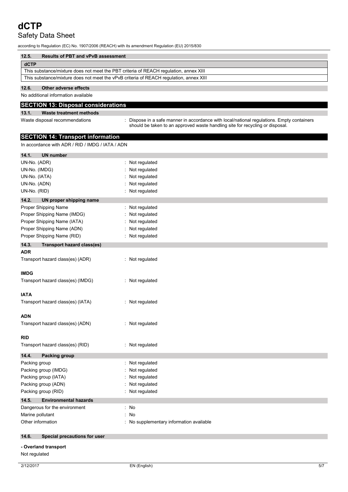according to Regulation (EC) No. 1907/2006 (REACH) with its amendment Regulation (EU) 2015/830

| 12.5.                                                                                  | <b>Results of PBT and vPvB assessment</b> |  |
|----------------------------------------------------------------------------------------|-------------------------------------------|--|
| dCTP                                                                                   |                                           |  |
| This substance/mixture does not meet the PBT criteria of REACH regulation, annex XIII  |                                           |  |
| This substance/mixture does not meet the vPvB criteria of REACH regulation, annex XIII |                                           |  |
| $\overline{10}$                                                                        | $\sim$ $\sim$ $\sim$ $\sim$ $\sim$ $\sim$ |  |

### **12.6. Other adverse effects**

No additional information available

# **SECTION 13: Disposal considerations**

### **13.1. Waste treatment methods**

Waste disposal recommendations in the state of propose in a safe manner in accordance with local/national regulations. Empty containers should be taken to an approved waste handling site for recycling or disposal.

# **SECTION 14: Transport information**

In accordance with ADR / RID / IMDG / IATA / ADN

| 14.1.<br><b>UN number</b>                  |                                        |
|--------------------------------------------|----------------------------------------|
| UN-No. (ADR)                               | Not regulated<br>÷                     |
| UN-No. (IMDG)                              | Not regulated                          |
| UN-No. (IATA)                              | Not regulated                          |
| UN-No. (ADN)                               | Not regulated                          |
| UN-No. (RID)                               | Not regulated                          |
| 14.2.<br>UN proper shipping name           |                                        |
| Proper Shipping Name                       | Not regulated                          |
| Proper Shipping Name (IMDG)                | Not regulated                          |
| Proper Shipping Name (IATA)                | Not regulated                          |
| Proper Shipping Name (ADN)                 | Not regulated                          |
| Proper Shipping Name (RID)                 | Not regulated                          |
| 14.3.<br><b>Transport hazard class(es)</b> |                                        |
| <b>ADR</b>                                 |                                        |
| Transport hazard class(es) (ADR)           | : Not regulated                        |
| <b>IMDG</b>                                |                                        |
| Transport hazard class(es) (IMDG)          | Not regulated<br>÷                     |
| IATA                                       |                                        |
| Transport hazard class(es) (IATA)          | : Not regulated                        |
| ADN                                        |                                        |
| Transport hazard class(es) (ADN)           | : Not regulated                        |
| RID                                        |                                        |
| Transport hazard class(es) (RID)           | : Not regulated                        |
| 14.4.<br><b>Packing group</b>              |                                        |
| Packing group                              | : Not regulated                        |
| Packing group (IMDG)                       | Not regulated                          |
| Packing group (IATA)                       | Not regulated                          |
| Packing group (ADN)                        | Not regulated                          |
| Packing group (RID)                        | Not regulated                          |
| 14.5.<br><b>Environmental hazards</b>      |                                        |
| Dangerous for the environment              | : No                                   |
| Marine pollutant                           | No<br>÷                                |
| Other information                          | No supplementary information available |
| 14.6.<br>Special precautions for user      |                                        |
| - Overland transport                       |                                        |
| Not regulated                              |                                        |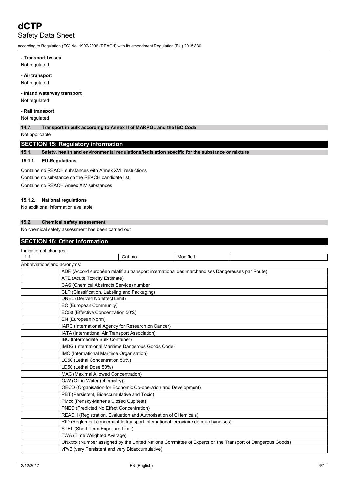according to Regulation (EC) No. 1907/2006 (REACH) with its amendment Regulation (EU) 2015/830

### **- Transport by sea**

Not regulated

### **- Air transport**

Not regulated

### **- Inland waterway transport**

Not regulated

# **- Rail transport**

Not regulated

**14.7. Transport in bulk according to Annex II of MARPOL and the IBC Code**

Not applicable

# **SECTION 15: Regulatory information**

**15.1. Safety, health and environmental regulations/legislation specific for the substance or mixture**

### **15.1.1. EU-Regulations**

Contains no REACH substances with Annex XVII restrictions Contains no substance on the REACH candidate list Contains no REACH Annex XIV substances

#### **15.1.2. National regulations**

No additional information available

### **15.2. Chemical safety assessment**

No chemical safety assessment has been carried out

# **SECTION 16: Other information**

| Indication of changes:      |                                                                                                 |          |          |                                                                                                         |
|-----------------------------|-------------------------------------------------------------------------------------------------|----------|----------|---------------------------------------------------------------------------------------------------------|
| 1.1                         |                                                                                                 | Cat. no. | Modified |                                                                                                         |
| Abbreviations and acronyms: |                                                                                                 |          |          |                                                                                                         |
|                             | ADR (Accord européen relatif au transport international des marchandises Dangereuses par Route) |          |          |                                                                                                         |
|                             | ATE (Acute Toxicity Estimate)                                                                   |          |          |                                                                                                         |
|                             | CAS (Chemical Abstracts Service) number                                                         |          |          |                                                                                                         |
|                             | CLP (Classification, Labeling and Packaging)                                                    |          |          |                                                                                                         |
|                             | DNEL (Derived No effect Limit)                                                                  |          |          |                                                                                                         |
|                             | EC (European Community)                                                                         |          |          |                                                                                                         |
|                             | EC50 (Effective Concentration 50%)                                                              |          |          |                                                                                                         |
|                             | EN (European Norm)                                                                              |          |          |                                                                                                         |
|                             | IARC (International Agency for Research on Cancer)                                              |          |          |                                                                                                         |
|                             | IATA (International Air Transport Association)                                                  |          |          |                                                                                                         |
|                             | IBC (Intermediate Bulk Container)                                                               |          |          |                                                                                                         |
|                             | IMDG (International Maritime Dangerous Goods Code)                                              |          |          |                                                                                                         |
|                             | IMO (International Maritime Organisation)                                                       |          |          |                                                                                                         |
|                             | LC50 (Lethal Concentration 50%)                                                                 |          |          |                                                                                                         |
|                             | LD50 (Lethal Dose 50%)                                                                          |          |          |                                                                                                         |
|                             | MAC (Maximal Allowed Concentration)                                                             |          |          |                                                                                                         |
|                             | O/W (Oil-in-Water (chemistry))                                                                  |          |          |                                                                                                         |
|                             | OECD (Organisation for Economic Co-operation and Development)                                   |          |          |                                                                                                         |
|                             | PBT (Persistent, Bioaccumulative and Toxic)                                                     |          |          |                                                                                                         |
|                             | PMcc (Pensky-Martens Closed Cup test)                                                           |          |          |                                                                                                         |
|                             | PNEC (Predicted No Effect Concentration)                                                        |          |          |                                                                                                         |
|                             | REACH (Registration, Evaluation and Authorisation of CHemicals)                                 |          |          |                                                                                                         |
|                             | RID (Règlement concernant le transport international ferroviaire de marchandises)               |          |          |                                                                                                         |
|                             | STEL (Short Term Exposure Limit)                                                                |          |          |                                                                                                         |
|                             | TWA (Time Weighted Average)                                                                     |          |          |                                                                                                         |
|                             |                                                                                                 |          |          | UNxxxx (Number assigned by the United Nations Committee of Experts on the Transport of Dangerous Goods) |
|                             | vPvB (very Persistent and very Bioaccumulative)                                                 |          |          |                                                                                                         |